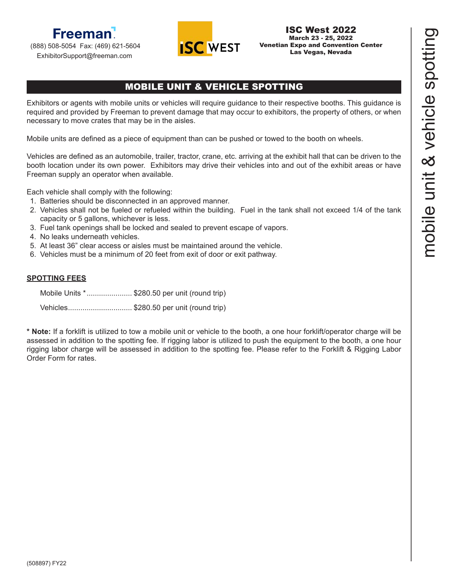### **Freeman** (888) 508-5054 Fax: (469) 621-5604

ExhibitorSupport@freeman.com



## MOBILE UNIT & VEHICLE SPOTTING

Exhibitors or agents with mobile units or vehicles will require guidance to their respective booths. This guidance is required and provided by Freeman to prevent damage that may occur to exhibitors, the property of others, or when necessary to move crates that may be in the aisles.

Mobile units are defined as a piece of equipment than can be pushed or towed to the booth on wheels.

Vehicles are defined as an automobile, trailer, tractor, crane, etc. arriving at the exhibit hall that can be driven to the booth location under its own power. Exhibitors may drive their vehicles into and out of the exhibit areas or have Freeman supply an operator when available.

Each vehicle shall comply with the following:

- 1. Batteries should be disconnected in an approved manner.
- 2. Vehicles shall not be fueled or refueled within the building. Fuel in the tank shall not exceed 1/4 of the tank capacity or 5 gallons, whichever is less.
- 3. Fuel tank openings shall be locked and sealed to prevent escape of vapors.
- 4. No leaks underneath vehicles.
- 5. At least 36" clear access or aisles must be maintained around the vehicle.
- 6. Vehicles must be a minimum of 20 feet from exit of door or exit pathway.

#### **SPOTTING FEES**

Mobile Units \*...................... \$280.50 per unit (round trip) Vehicles............................... \$280.50 per unit (round trip)

**\* Note:** If a forklift is utilized to tow a mobile unit or vehicle to the booth, a one hour forklift/operator charge will be assessed in addition to the spotting fee. If rigging labor is utilized to push the equipment to the booth, a one hour rigging labor charge will be assessed in addition to the spotting fee. Please refer to the Forklift & Rigging Labor Order Form for rates.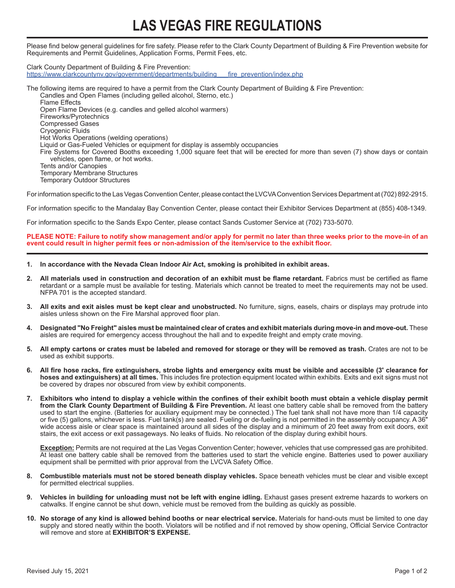# **LAS VEGAS FIRE REGULATIONS**

Please find below general guidelines for fire safety. Please refer to the Clark County Department of Building & Fire Prevention website for Requirements and Permit Guidelines, Application Forms, Permit Fees, etc.

Clark County Department of Building & Fire Prevention: https://www.clarkcountynv.gov/government/departments/building fire prevention/index.php

The following items are required to have a permit from the Clark County Department of Building & Fire Prevention: Candles and Open Flames (including gelled alcohol, Sterno, etc.) Flame Effects Open Flame Devices (e.g. candles and gelled alcohol warmers) Fireworks/Pyrotechnics Compressed Gases Cryogenic Fluids Hot Works Operations (welding operations) Liquid or Gas-Fueled Vehicles or equipment for display is assembly occupancies Fire Systems for Covered Booths exceeding 1,000 square feet that will be erected for more than seven (7) show days or contain vehicles, open flame, or hot works. Tents and/or Canopies Temporary Membrane Structures Temporary Outdoor Structures

For information specific to the Las Vegas Convention Center, please contact the LVCVA Convention Services Department at (702) 892-2915.

For information specific to the Mandalay Bay Convention Center, please contact their Exhibitor Services Department at (855) 408-1349.

For information specific to the Sands Expo Center, please contact Sands Customer Service at (702) 733-5070.

#### **PLEASE NOTE: Failure to notify show management and/or apply for permit no later than three weeks prior to the move-in of an event could result in higher permit fees or non-admission of the item/service to the exhibit floor.**

- **1. In accordance with the Nevada Clean Indoor Air Act, smoking is prohibited in exhibit areas.**
- **2. All materials used in construction and decoration of an exhibit must be flame retardant.** Fabrics must be certified as flame retardant or a sample must be available for testing. Materials which cannot be treated to meet the requirements may not be used. NFPA 701 is the accepted standard.
- **3. All exits and exit aisles must be kept clear and unobstructed.** No furniture, signs, easels, chairs or displays may protrude into aisles unless shown on the Fire Marshal approved floor plan.
- **4. Designated "No Freight" aisles must be maintained clear of crates and exhibit materials during move-in and move-out.** These aisles are required for emergency access throughout the hall and to expedite freight and empty crate moving.
- **5. All empty cartons or crates must be labeled and removed for storage or they will be removed as trash.** Crates are not to be used as exhibit supports.
- **6. All fire hose racks, fire extinguishers, strobe lights and emergency exits must be visible and accessible (3' clearance for hoses and extinguishers) at all times.** This includes fire protection equipment located within exhibits. Exits and exit signs must not be covered by drapes nor obscured from view by exhibit components.
- **7. Exhibitors who intend to display a vehicle within the confines of their exhibit booth must obtain a vehicle display permit from the Clark County Department of Building & Fire Prevention.** At least one battery cable shall be removed from the battery used to start the engine. (Batteries for auxiliary equipment may be connected.) The fuel tank shall not have more than 1/4 capacity or five (5) gallons, whichever is less. Fuel tank(s) are sealed. Fueling or de-fueling is not permitted in the assembly occupancy. A 36" wide access aisle or clear space is maintained around all sides of the display and a minimum of 20 feet away from exit doors, exit stairs, the exit access or exit passageways. No leaks of fluids. No relocation of the display during exhibit hours.

**Exception:** Permits are not required at the Las Vegas Convention Center; however, vehicles that use compressed gas are prohibited. At least one battery cable shall be removed from the batteries used to start the vehicle engine. Batteries used to power auxiliary equipment shall be permitted with prior approval from the LVCVA Safety Office.

- **8. Combustible materials must not be stored beneath display vehicles.** Space beneath vehicles must be clear and visible except for permitted electrical supplies.
- **9. Vehicles in building for unloading must not be left with engine idling.** Exhaust gases present extreme hazards to workers on catwalks. If engine cannot be shut down, vehicle must be removed from the building as quickly as possible.
- **10. No storage of any kind is allowed behind booths or near electrical service.** Materials for hand-outs must be limited to one day supply and stored neatly within the booth. Violators will be notified and if not removed by show opening, Official Service Contractor will remove and store at **EXHIBITOR'S EXPENSE.**